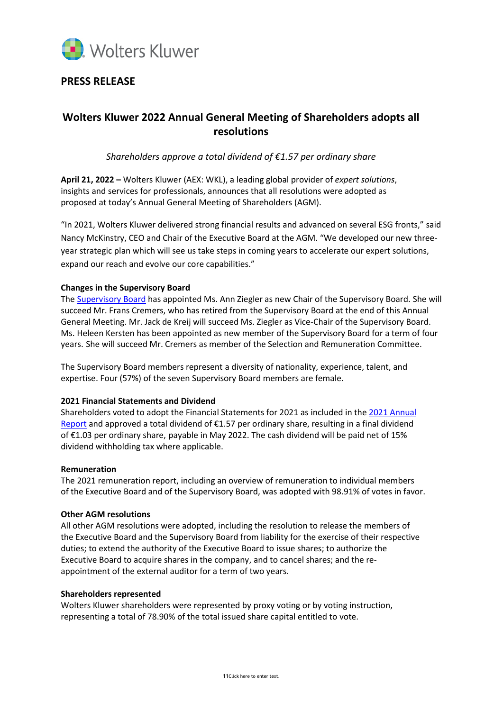

# **PRESS RELEASE**

# **Wolters Kluwer 2022 Annual General Meeting of Shareholders adopts all resolutions**

*Shareholders approve a total dividend of €1.57 per ordinary share*

**April 21, 2022 –** Wolters Kluwer (AEX: WKL), a leading global provider of *expert solutions*, insights and services for professionals, announces that all resolutions were adopted as proposed at today's Annual General Meeting of Shareholders (AGM).

"In 2021, Wolters Kluwer delivered strong financial results and advanced on several ESG fronts," said Nancy McKinstry, CEO and Chair of the Executive Board at the AGM. "We developed our new threeyear strategic plan which will see us take steps in coming years to accelerate our expert solutions, expand our reach and evolve our core capabilities."

### **Changes in the Supervisory Board**

The **Supervisory Board** has appointed Ms. Ann Ziegler as new Chair of the [Supervisory Board](https://www.wolterskluwer.com/en/about-us/supervisory-board). She will succeed Mr. Frans Cremers, who has retired from the Supervisory Board at the end of this Annual General Meeting. Mr. Jack de Kreij will succeed Ms. Ziegler as Vice-Chair of the Supervisory Board. Ms. Heleen Kersten has been appointed as new member of the Supervisory Board for a term of four years. She will succeed Mr. Cremers as member of the Selection and Remuneration Committee.

The Supervisory Board members represent a diversity of nationality, experience, talent, and expertise. Four (57%) of the seven Supervisory Board members are female.

#### **2021 Financial Statements and Dividend**

Shareholders voted to adopt the Financial Statements for 2021 as included in the 2021 [Annual](https://www.wolterskluwer.com/en/investors/financials/annual-reports)  [Report](https://www.wolterskluwer.com/en/investors/financials/annual-reports) and approved a total dividend of €1.57 per ordinary share, resulting in a final dividend of €1.03 per ordinary share, payable in May 2022. The cash dividend will be paid net of 15% dividend withholding tax where applicable.

#### **Remuneration**

The 2021 remuneration report, including an overview of remuneration to individual members of the Executive Board and of the Supervisory Board, was adopted with 98.91% of votes in favor.

#### **Other AGM resolutions**

All other AGM resolutions were adopted, including the resolution to release the members of the Executive Board and the Supervisory Board from liability for the exercise of their respective duties; to extend the authority of the Executive Board to issue shares; to authorize the Executive Board to acquire shares in the company, and to cancel shares; and the reappointment of the external auditor for a term of two years.

#### **Shareholders represented**

Wolters Kluwer shareholders were represented by proxy voting or by voting instruction, representing a total of 78.90% of the total issued share capital entitled to vote.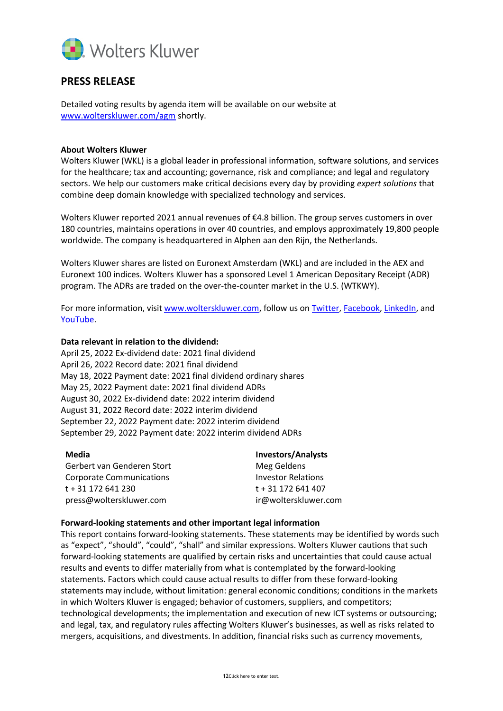

## **PRESS RELEASE**

Detailed voting results by agenda item will be available on our website at [www.wolterskluwer.com/agm](http://www.wolterskluwer.com/agm) shortly.

### **About Wolters Kluwer**

Wolters Kluwer (WKL) is a global leader in professional information, software solutions, and services for the healthcare; tax and accounting; governance, risk and compliance; and legal and regulatory sectors. We help our customers make critical decisions every day by providing *expert solutions* that combine deep domain knowledge with specialized technology and services.

Wolters Kluwer reported 2021 annual revenues of €4.8 billion. The group serves customers in over 180 countries, maintains operations in over 40 countries, and employs approximately 19,800 people worldwide. The company is headquartered in Alphen aan den Rijn, the Netherlands.

Wolters Kluwer shares are listed on Euronext Amsterdam (WKL) and are included in the AEX and Euronext 100 indices. Wolters Kluwer has a sponsored Level 1 American Depositary Receipt (ADR) program. The ADRs are traded on the over-the-counter market in the U.S. (WTKWY).

For more information, visi[t www.wolterskluwer.com,](http://www.wolterskluwer.com/) follow us on [Twitter,](https://twitter.com/wolters_kluwer) [Facebook,](https://www.facebook.com/wolterskluwer) [LinkedIn,](https://www.linkedin.com/company/2483?trk=tyah&trkInfo=tarId%3A1415118411059%2Ctas%3Awolters%20kluwer%2Cidx%3A2-1-6) and [YouTube.](http://www.youtube.com/user/WoltersKluwerComms)

### **Data relevant in relation to the dividend:**

April 25, 2022 Ex-dividend date: 2021 final dividend April 26, 2022 Record date: 2021 final dividend May 18, 2022 Payment date: 2021 final dividend ordinary shares May 25, 2022 Payment date: 2021 final dividend ADRs August 30, 2022 Ex-dividend date: 2022 interim dividend August 31, 2022 Record date: 2022 interim dividend September 22, 2022 Payment date: 2022 interim dividend September 29, 2022 Payment date: 2022 interim dividend ADRs

| Media                      | <b>Investors/Analysts</b> |
|----------------------------|---------------------------|
| Gerbert van Genderen Stort | Meg Geldens               |
| Corporate Communications   | <b>Investor Relations</b> |
| t + 31 172 641 230         | t + 31 172 641 407        |
| press@wolterskluwer.com    | ir@wolterskluwer.com      |

#### **Forward-looking statements and other important legal information**

This report contains forward-looking statements. These statements may be identified by words such as "expect", "should", "could", "shall" and similar expressions. Wolters Kluwer cautions that such forward-looking statements are qualified by certain risks and uncertainties that could cause actual results and events to differ materially from what is contemplated by the forward-looking statements. Factors which could cause actual results to differ from these forward-looking statements may include, without limitation: general economic conditions; conditions in the markets in which Wolters Kluwer is engaged; behavior of customers, suppliers, and competitors; technological developments; the implementation and execution of new ICT systems or outsourcing; and legal, tax, and regulatory rules affecting Wolters Kluwer's businesses, as well as risks related to mergers, acquisitions, and divestments. In addition, financial risks such as currency movements,